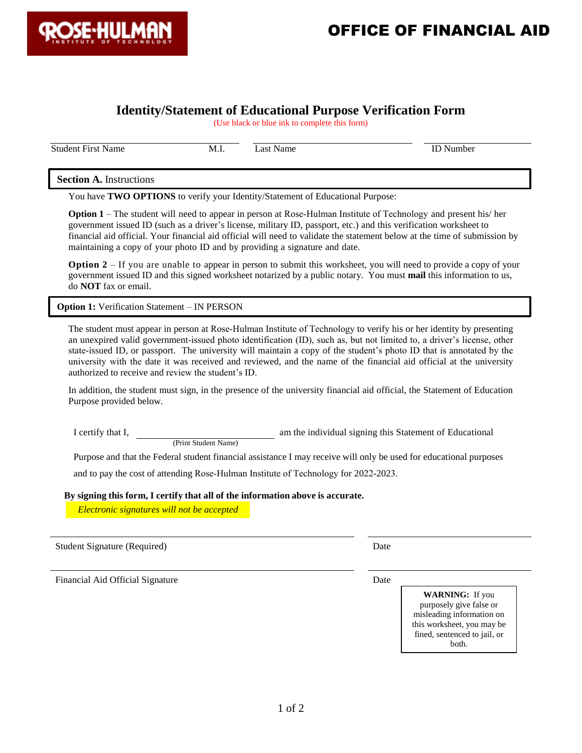

## **Identity/Statement of Educational Purpose Verification Form**

(Use black or blue ink to complete this form)

Student First Name M.I. Last Name ID Number

**Section A.** Instructions

You have **TWO OPTIONS** to verify your Identity/Statement of Educational Purpose:

**Option 1** – The student will need to appear in person at Rose-Hulman Institute of Technology and present his/ her government issued ID (such as a driver's license, military ID, passport, etc.) and this verification worksheet to financial aid official. Your financial aid official will need to validate the statement below at the time of submission by maintaining a copy of your photo ID and by providing a signature and date.

**Option 2** – If you are unable to appear in person to submit this worksheet, you will need to provide a copy of your government issued ID and this signed worksheet notarized by a public notary. You must **mail** this information to us, do **NOT** fax or email.

**Option 1:** Verification Statement – IN PERSON

The student must appear in person at Rose-Hulman Institute of Technology to verify his or her identity by presenting an unexpired valid government-issued photo identification (ID), such as, but not limited to, a driver's license, other state-issued ID, or passport. The university will maintain a copy of the student's photo ID that is annotated by the university with the date it was received and reviewed, and the name of the financial aid official at the university authorized to receive and review the student's ID.

In addition, the student must sign, in the presence of the university financial aid official, the Statement of Education Purpose provided below.

I certify that I, am the individual signing this Statement of Educational

(Print Student Name)

Purpose and that the Federal student financial assistance I may receive will only be used for educational purposes

and to pay the cost of attending Rose-Hulman Institute of Technology for 2022-2023.

**By signing this form, I certify that all of the information above is accurate.**

 *(Electronic signatures will not be accepted) Electronic signatures will not be accepted*

Student Signature (Required) Date

Financial Aid Official Signature Date Date Date Date

**WARNING:** If you purposely give false or misleading information on this worksheet, you may be fined, sentenced to jail, or both.